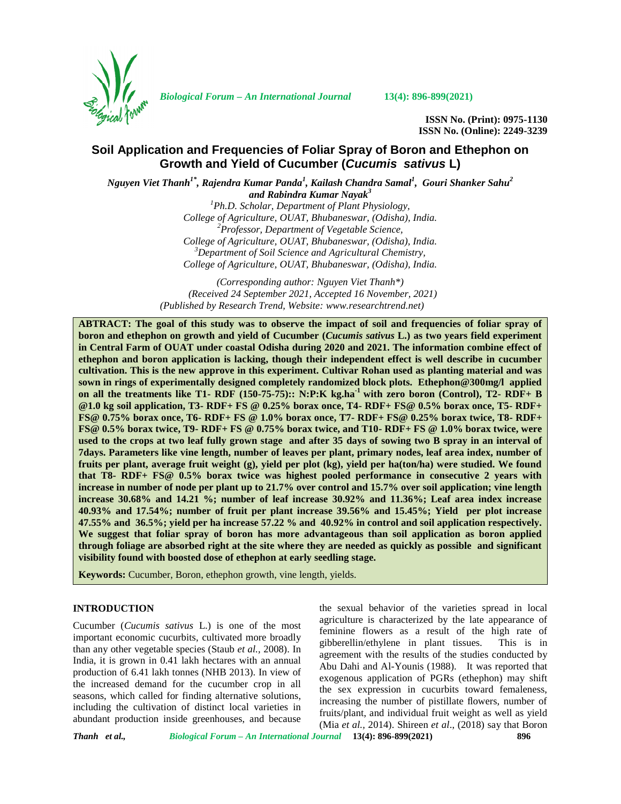

*Biological Forum – An International Journal* **13(4): 896-899(2021)**

**ISSN No. (Print): 0975-1130 ISSN No. (Online): 2249-3239**

# **Soil Application and Frequencies of Foliar Spray of Boron and Ethephon on Growth and Yield of Cucumber (***Cucumis sativus* **L)**

*Nguyen Viet Thanh1\* , Rajendra Kumar Panda<sup>1</sup> , Kailash Chandra Samal<sup>1</sup> , Gouri Shanker Sahu 2 and Rabindra Kumar Nayak<sup>3</sup> <sup>1</sup>Ph.D. Scholar, Department of Plant Physiology, College of Agriculture, OUAT, Bhubaneswar, (Odisha), India. <sup>2</sup>Professor, Department of Vegetable Science, College of Agriculture, OUAT, Bhubaneswar, (Odisha), India. <sup>3</sup>Department of Soil Science and Agricultural Chemistry, College of Agriculture, OUAT, Bhubaneswar, (Odisha), India.*

> *(Corresponding author: Nguyen Viet Thanh\*) (Received 24 September 2021, Accepted 16 November, 2021) (Published by Research Trend, Website: [www.researchtrend.net\)](www.researchtrend.net)*

**ABTRACT: The goal of this study was to observe the impact of soil and frequencies of foliar spray of boron and ethephon on growth and yield of Cucumber (***Cucumis sativus* **L.) as two years field experiment in Central Farm of OUAT under coastal Odisha during 2020 and 2021. The information combine effect of ethephon and boron application is lacking, though their independent effect is well describe in cucumber cultivation. This is the new approve in this experiment. Cultivar Rohan used as planting material and was sown in rings of experimentally designed completely randomized block plots. Ethephon@300mg/l applied on all the treatments like T1- RDF (150-75-75):: N:P:K kg.ha-1 with zero boron (Control), T2- RDF+ B @1.0 kg soil application, T3- RDF+ FS @ 0.25% borax once, T4- RDF+ FS@ 0.5% borax once, T5- RDF+ FS@ 0.75% borax once, T6- RDF+ FS @ 1.0% borax once, T7- RDF+ FS@ 0.25% borax twice, T8- RDF+ FS@ 0.5% borax twice, T9- RDF+ FS @ 0.75% borax twice, and T10- RDF+ FS @ 1.0% borax twice, were used to the crops at two leaf fully grown stage and after 35 days of sowing two B spray in an interval of 7days. Parameters like vine length, number of leaves per plant, primary nodes, leaf area index, number of fruits per plant, average fruit weight (g), yield per plot (kg), yield per ha(ton/ha) were studied. We found that T8- RDF+ FS@ 0.5% borax twice was highest pooled performance in consecutive 2 years with increase in number of node per plant up to 21.7% over control and 15.7% over soil application; vine length increase 30.68% and 14.21 %; number of leaf increase 30.92% and 11.36%; Leaf area index increase 40.93% and 17.54%; number of fruit per plant increase 39.56% and 15.45%; Yield per plot increase 47.55% and 36.5%; yield per ha increase 57.22 % and 40.92% in control and soil application respectively. We suggest that foliar spray of boron has more advantageous than soil application as boron applied through foliage are absorbed right at the site where they are needed as quickly as possible and significant visibility found with boosted dose of ethephon at early seedling stage.**

**Keywords:** Cucumber, Boron, ethephon growth, vine length, yields.

### **INTRODUCTION**

Cucumber (*Cucumis sativus* L.) is one of the most important economic cucurbits, cultivated more broadly than any other vegetable species (Staub *et al.,* 2008). In India, it is grown in 0.41 lakh hectares with an annual production of 6.41 lakh tonnes (NHB 2013). In view of the increased demand for the cucumber crop in all seasons, which called for finding alternative solutions, including the cultivation of distinct local varieties in abundant production inside greenhouses, and because

the sexual behavior of the varieties spread in local agriculture is characterized by the late appearance of feminine flowers as a result of the high rate of gibberellin/ethylene in plant tissues. This is in agreement with the results of the studies conducted by Abu Dahi and Al-Younis (1988). It was reported that exogenous application of PGRs (ethephon) may shift the sex expression in cucurbits toward femaleness, increasing the number of pistillate flowers, number of fruits/plant, and individual fruit weight as well as yield (Mia *et al.,* 2014). Shireen *et al*., (2018) say that Boron

*Thanh et al., Biological Forum – An International Journal* **13(4): 896-899(2021) 896**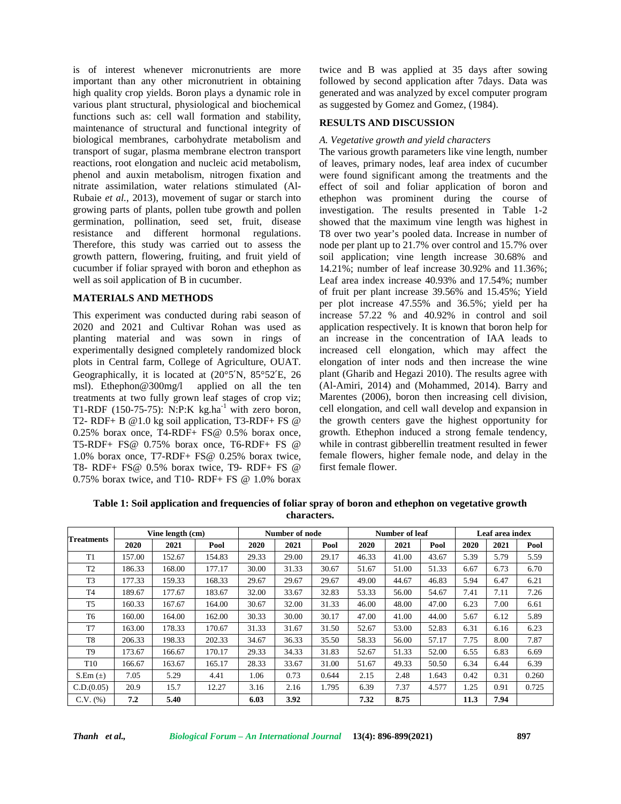is of interest whenever micronutrients are more important than any other micronutrient in obtaining high quality crop yields. Boron plays a dynamic role in various plant structural, physiological and biochemical functions such as: cell wall formation and stability, maintenance of structural and functional integrity of biological membranes, carbohydrate metabolism and transport of sugar, plasma membrane electron transport reactions, root elongation and nucleic acid metabolism, phenol and auxin metabolism, nitrogen fixation and nitrate assimilation, water relations stimulated (Al- Rubaie *et al.,* 2013), movement of sugar or starch into growing parts of plants, pollen tube growth and pollen germination, pollination, seed set, fruit, disease resistance and different hormonal regulations. Therefore, this study was carried out to assess the growth pattern, flowering*,* fruiting, and fruit yield of cucumber if foliar sprayed with boron and ethephon as well as soil application of B in cucumber.

## **MATERIALS AND METHODS**

This experiment was conducted during rabi season of 2020 and 2021 and Cultivar Rohan was used as planting material and was sown in rings of experimentally designed completely randomized block plots in Central farm, College of Agriculture, OUAT. Geographically, it is located at (20°5′N, 85°52′E, 26 msl). Ethephon@300mg/l applied on all the ten treatments at two fully grown leaf stages of crop viz; T1-RDF (150-75-75): N:P:K kg.ha<sup>-1</sup> with zero boron, T2- RDF+ B @1.0 kg soil application, T3-RDF+ FS @ 0.25% borax once, T4-RDF+ FS@ 0.5% borax once, T5-RDF+ FS@ 0.75% borax once, T6-RDF+ FS @ 1.0% borax once, T7-RDF+ FS@ 0.25% borax twice, T8- RDF+ FS@ 0.5% borax twice, T9- RDF+ FS @ 0.75% borax twice, and T10- RDF+ FS @ 1.0% borax

twice and B was applied at 35 days after sowing followed by second application after 7days. Data was generated and was analyzed by excel computer program as suggested by Gomez and Gomez, (1984).

## **RESULTS AND DISCUSSION**

#### *A. Vegetative growth and yield characters*

The various growth parameters like vine length, number of leaves, primary nodes, leaf area index of cucumber were found significant among the treatments and the effect of soil and foliar application of boron and ethephon was prominent during the course of investigation. The results presented in Table 1-2 showed that the maximum vine length was highest in T8 over two year's pooled data. Increase in number of node per plant up to 21.7% over control and 15.7% over soil application; vine length increase 30.68% and 14.21%; number of leaf increase 30.92% and 11.36%; Leaf area index increase 40.93% and 17.54%; number of fruit per plant increase 39.56% and 15.45%; Yield per plot increase 47.55% and 36.5%; yield per ha increase 57.22 % and 40.92% in control and soil application respectively. It is known that boron help for an increase in the concentration of IAA leads to increased cell elongation, which may affect the elongation of inter nods and then increase the wine plant (Gharib and Hegazi 2010). The results agree with (Al-Amiri, 2014) and (Mohammed, 2014). Barry and Marentes (2006), boron then increasing cell division, cell elongation, and cell wall develop and expansion in the growth centers gave the highest opportunity for growth. Ethephon induced a strong female tendency, while in contrast gibberellin treatment resulted in fewer female flowers, higher female node, and delay in the first female flower.

**Table 1: Soil application and frequencies of foliar spray of boron and ethephon on vegetative growth characters.**

| <b>Treatments</b> | Vine length (cm) |        |        | Number of node |       |       | Number of leaf |       |       | Leaf area index |      |       |
|-------------------|------------------|--------|--------|----------------|-------|-------|----------------|-------|-------|-----------------|------|-------|
|                   | 2020             | 2021   | Pool   | 2020           | 2021  | Pool  | 2020           | 2021  | Pool  | 2020            | 2021 | Pool  |
| T1                | 157.00           | 152.67 | 154.83 | 29.33          | 29.00 | 29.17 | 46.33          | 41.00 | 43.67 | 5.39            | 5.79 | 5.59  |
| T <sub>2</sub>    | 186.33           | 168.00 | 177.17 | 30.00          | 31.33 | 30.67 | 51.67          | 51.00 | 51.33 | 6.67            | 6.73 | 6.70  |
| T <sub>3</sub>    | 177.33           | 159.33 | 168.33 | 29.67          | 29.67 | 29.67 | 49.00          | 44.67 | 46.83 | 5.94            | 6.47 | 6.21  |
| T <sub>4</sub>    | 189.67           | 177.67 | 183.67 | 32.00          | 33.67 | 32.83 | 53.33          | 56.00 | 54.67 | 7.41            | 7.11 | 7.26  |
| T <sub>5</sub>    | 160.33           | 167.67 | 164.00 | 30.67          | 32.00 | 31.33 | 46.00          | 48.00 | 47.00 | 6.23            | 7.00 | 6.61  |
| T <sub>6</sub>    | 160.00           | 164.00 | 162.00 | 30.33          | 30.00 | 30.17 | 47.00          | 41.00 | 44.00 | 5.67            | 6.12 | 5.89  |
| T7                | 163.00           | 178.33 | 170.67 | 31.33          | 31.67 | 31.50 | 52.67          | 53.00 | 52.83 | 6.31            | 6.16 | 6.23  |
| T <sub>8</sub>    | 206.33           | 198.33 | 202.33 | 34.67          | 36.33 | 35.50 | 58.33          | 56.00 | 57.17 | 7.75            | 8.00 | 7.87  |
| T <sub>9</sub>    | 173.67           | 166.67 | 170.17 | 29.33          | 34.33 | 31.83 | 52.67          | 51.33 | 52.00 | 6.55            | 6.83 | 6.69  |
| T <sub>10</sub>   | 166.67           | 163.67 | 165.17 | 28.33          | 33.67 | 31.00 | 51.67          | 49.33 | 50.50 | 6.34            | 6.44 | 6.39  |
| $S.Em(\pm)$       | 7.05             | 5.29   | 4.41   | 1.06           | 0.73  | 0.644 | 2.15           | 2.48  | 1.643 | 0.42            | 0.31 | 0.260 |
| C.D.(0.05)        | 20.9             | 15.7   | 12.27  | 3.16           | 2.16  | 1.795 | 6.39           | 7.37  | 4.577 | 1.25            | 0.91 | 0.725 |
| $C.V.$ $%$        | 7.2              | 5.40   |        | 6.03           | 3.92  |       | 7.32           | 8.75  |       | 11.3            | 7.94 |       |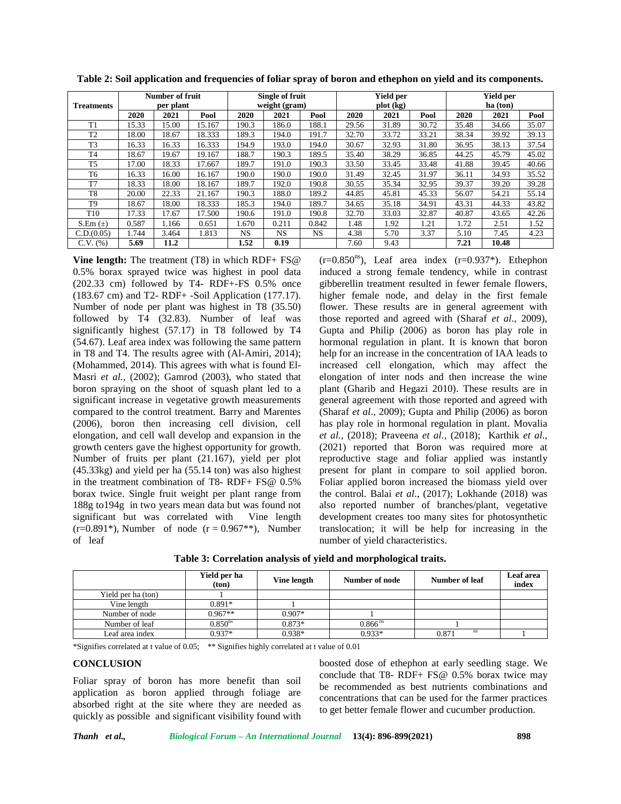| <b>Treatments</b> | Number of fruit<br>per plant |       |        | Single of fruit<br>weight (gram) |           |       | <b>Yield per</b><br>plot (kg) |       |       | <b>Yield per</b><br>ha (ton) |       |       |
|-------------------|------------------------------|-------|--------|----------------------------------|-----------|-------|-------------------------------|-------|-------|------------------------------|-------|-------|
|                   | 2020                         | 2021  | Pool   | 2020                             | 2021      | Pool  | 2020                          | 2021  | Pool  | 2020                         | 2021  | Pool  |
| T <sub>1</sub>    | 15.33                        | 15.00 | 15.167 | 190.3                            | 186.0     | 188.1 | 29.56                         | 31.89 | 30.72 | 35.48                        | 34.66 | 35.07 |
| T <sub>2</sub>    | 18.00                        | 18.67 | 18.333 | 189.3                            | 194.0     | 191.7 | 32.70                         | 33.72 | 33.21 | 38.34                        | 39.92 | 39.13 |
| T <sub>3</sub>    | 16.33                        | 16.33 | 16.333 | 194.9                            | 193.0     | 194.0 | 30.67                         | 32.93 | 31.80 | 36.95                        | 38.13 | 37.54 |
| T <sub>4</sub>    | 18.67                        | 19.67 | 19.167 | 188.7                            | 190.3     | 189.5 | 35.40                         | 38.29 | 36.85 | 44.25                        | 45.79 | 45.02 |
| T <sub>5</sub>    | 17.00                        | 18.33 | 17.667 | 189.7                            | 191.0     | 190.3 | 33.50                         | 33.45 | 33.48 | 41.88                        | 39.45 | 40.66 |
| T6                | 16.33                        | 16.00 | 16.167 | 190.0                            | 190.0     | 190.0 | 31.49                         | 32.45 | 31.97 | 36.11                        | 34.93 | 35.52 |
| T7                | 18.33                        | 18.00 | 18.167 | 189.7                            | 192.0     | 190.8 | 30.55                         | 35.34 | 32.95 | 39.37                        | 39.20 | 39.28 |
| T8                | 20.00                        | 22.33 | 21.167 | 190.3                            | 188.0     | 189.2 | 44.85                         | 45.81 | 45.33 | 56.07                        | 54.21 | 55.14 |
| T <sub>9</sub>    | 18.67                        | 18.00 | 18.333 | 185.3                            | 194.0     | 189.7 | 34.65                         | 35.18 | 34.91 | 43.31                        | 44.33 | 43.82 |
| T <sub>10</sub>   | 17.33                        | 17.67 | 17.500 | 190.6                            | 191.0     | 190.8 | 32.70                         | 33.03 | 32.87 | 40.87                        | 43.65 | 42.26 |
| $S.Em(\pm)$       | 0.587                        | 1.166 | 0.651  | 1.670                            | 0.211     | 0.842 | 1.48                          | 1.92  | 1.21  | 1.72                         | 2.51  | 1.52  |
| C.D.(0.05)        | 1.744                        | 3.464 | 1.813  | NS.                              | <b>NS</b> | NS.   | 4.38                          | 5.70  | 3.37  | 5.10                         | 7.45  | 4.23  |
| $C.V.$ $(\%)$     | 5.69                         | 11.2  |        | 1.52                             | 0.19      |       | 7.60                          | 9.43  |       | 7.21                         | 10.48 |       |

**Table 2: Soil application and frequencies of foliar spray of boron and ethephon on yield and its components.**

**Vine length:** The treatment (T8) in which RDF+ FS@ 0.5% borax sprayed twice was highest in pool data (202.33 cm) followed by T4- RDF+-FS 0.5% once (183.67 cm) and T2- RDF+ -Soil Application (177.17). Number of node per plant was highest in T8 (35.50) followed by T4 (32.83). Number of leaf was significantly highest (57.17) in T8 followed by T4 (54.67). Leaf area index was following the same pattern in T8 and T4. The results agree with (Al-Amiri, 2014); (Mohammed, 2014). This agrees with what is found El- Masri *et al.,* (2002); Gamrod (2003), who stated that boron spraying on the shoot of squash plant led to a significant increase in vegetative growth measurements compared to the control treatment. Barry and Marentes (2006), boron then increasing cell division, cell elongation, and cell wall develop and expansion in the growth centers gave the highest opportunity for growth. Number of fruits per plant (21.167), yield per plot (45.33kg) and yield per ha (55.14 ton) was also highest in the treatment combination of T8- RDF+ FS@ 0.5% borax twice. Single fruit weight per plant range from 188g to194g in two years mean data but was found not significant but was correlated with Vine length  $(r=0.891^*)$ , Number of node  $(r=0.967^{**})$ , Number of leaf

 $(r=0.850<sup>ns</sup>)$ , Leaf area index  $(r=0.937*)$ . Ethephon induced a strong female tendency, while in contrast gibberellin treatment resulted in fewer female flowers, higher female node, and delay in the first female flower. These results are in general agreement with those reported and agreed with (Sharaf *et al*., 2009), Gupta and Philip (2006) as boron has play role in hormonal regulation in plant. It is known that boron help for an increase in the concentration of IAA leads to increased cell elongation, which may affect the elongation of inter nods and then increase the wine plant (Gharib and Hegazi 2010). These results are in general agreement with those reported and agreed with (Sharaf *et al*., 2009); Gupta and Philip (2006) as boron has play role in hormonal regulation in plant. Movalia *et al.,* (2018); Praveena *et al.,* (2018); Karthik *et al.,* (2021) reported that Boron was required more at reproductive stage and foliar applied was instantly present for plant in compare to soil applied boron. Foliar applied boron increased the biomass yield over the control. Balai *et al*., (2017); Lokhande (2018) was also reported number of branches/plant, vegetative development creates too many sites for photosynthetic translocation; it will be help for increasing in the number of yield characteristics.

| Table 3: Correlation analysis of yield and morphological traits. |  |  |  |
|------------------------------------------------------------------|--|--|--|
|------------------------------------------------------------------|--|--|--|

|                    | Yield per ha<br>(ton) | Vine length | Number of node        | Number of leaf     | <b>Leaf</b> area<br>index |
|--------------------|-----------------------|-------------|-----------------------|--------------------|---------------------------|
| Yield per ha (ton) |                       |             |                       |                    |                           |
| Vine length        | $0.891*$              |             |                       |                    |                           |
| Number of node     | $0.967**$             | $0.907*$    |                       |                    |                           |
| Number of leaf     | 0.850 <sup>ns</sup>   | $0.873*$    | $0.866$ <sup>ns</sup> |                    |                           |
| Leaf area index    | $0.937*$              | $0.938*$    | $0.933*$              | <b>ns</b><br>0.871 |                           |

\*Signifies correlated at t value of 0.05; \*\* Signifies highly correlated at t value of 0.01

#### **CONCLUSION**

Foliar spray of boron has more benefit than soil application as boron applied through foliage are absorbed right at the site where they are needed as quickly as possible and significant visibility found with boosted dose of ethephon at early seedling stage. We conclude that T8- RDF+ FS@ 0.5% borax twice may be recommended as best nutrients combinations and concentrations that can be used for the farmer practices to get better female flower and cucumber production.